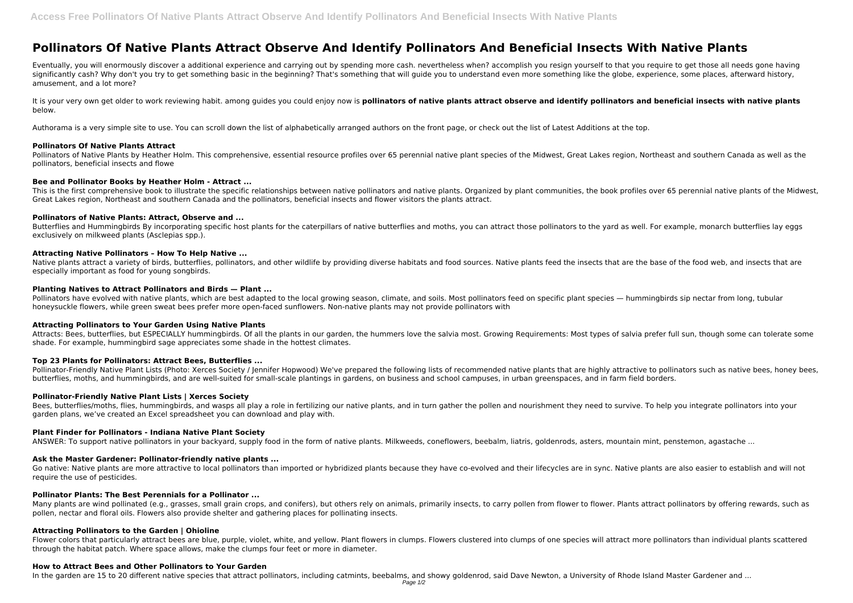# **Pollinators Of Native Plants Attract Observe And Identify Pollinators And Beneficial Insects With Native Plants**

It is your very own get older to work reviewing habit. among quides you could enjoy now is **pollinators of native plants attract observe and identify pollinators and beneficial insects with native plants** below.

Eventually, you will enormously discover a additional experience and carrying out by spending more cash. nevertheless when? accomplish you resign yourself to that you require to get those all needs gone having significantly cash? Why don't you try to get something basic in the beginning? That's something that will guide you to understand even more something like the globe, experience, some places, afterward history, amusement, and a lot more?

Pollinators of Native Plants by Heather Holm. This comprehensive, essential resource profiles over 65 perennial native plant species of the Midwest, Great Lakes region, Northeast and southern Canada as well as the pollinators, beneficial insects and flowe

Authorama is a very simple site to use. You can scroll down the list of alphabetically arranged authors on the front page, or check out the list of Latest Additions at the top.

Butterflies and Hummingbirds By incorporating specific host plants for the caterpillars of native butterflies and moths, you can attract those pollinators to the yard as well. For example, monarch butterflies lay eggs exclusively on milkweed plants (Asclepias spp.).

#### **Pollinators Of Native Plants Attract**

Native plants attract a variety of birds, butterflies, pollinators, and other wildlife by providing diverse habitats and food sources. Native plants feed the insects that are the base of the food web, and insects that are especially important as food for young songbirds.

# **Bee and Pollinator Books by Heather Holm - Attract ...**

Pollinators have evolved with native plants, which are best adapted to the local growing season, climate, and soils. Most pollinators feed on specific plant species — hummingbirds sip nectar from long, tubular honeysuckle flowers, while green sweat bees prefer more open-faced sunflowers. Non-native plants may not provide pollinators with

This is the first comprehensive book to illustrate the specific relationships between native pollinators and native plants. Organized by plant communities, the book profiles over 65 perennial native plants of the Midwest, Great Lakes region, Northeast and southern Canada and the pollinators, beneficial insects and flower visitors the plants attract.

# **Pollinators of Native Plants: Attract, Observe and ...**

Pollinator-Friendly Native Plant Lists (Photo: Xerces Society / Jennifer Hopwood) We've prepared the following lists of recommended native plants that are highly attractive to pollinators such as native bees, honey bees, butterflies, moths, and hummingbirds, and are well-suited for small-scale plantings in gardens, on business and school campuses, in urban greenspaces, and in farm field borders.

Bees, butterflies/moths, flies, hummingbirds, and wasps all play a role in fertilizing our native plants, and in turn gather the pollen and nourishment they need to survive. To help you integrate pollinators into your garden plans, we've created an Excel spreadsheet you can download and play with.

#### **Attracting Native Pollinators – How To Help Native ...**

Go native: Native plants are more attractive to local pollinators than imported or hybridized plants because they have co-evolved and their lifecycles are in sync. Native plants are also easier to establish and will not require the use of pesticides.

#### **Planting Natives to Attract Pollinators and Birds — Plant ...**

Many plants are wind pollinated (e.g., grasses, small grain crops, and conifers), but others rely on animals, primarily insects, to carry pollen from flower to flower. Plants attract pollinators by offering rewards, such a pollen, nectar and floral oils. Flowers also provide shelter and gathering places for pollinating insects.

Flower colors that particularly attract bees are blue, purple, violet, white, and yellow. Plant flowers in clumps. Flowers clustered into clumps of one species will attract more pollinators than individual plants scattered through the habitat patch. Where space allows, make the clumps four feet or more in diameter.

# **Attracting Pollinators to Your Garden Using Native Plants**

Attracts: Bees, butterflies, but ESPECIALLY hummingbirds. Of all the plants in our garden, the hummers love the salvia most. Growing Requirements: Most types of salvia prefer full sun, though some can tolerate some shade. For example, hummingbird sage appreciates some shade in the hottest climates.

# **Top 23 Plants for Pollinators: Attract Bees, Butterflies ...**

#### **Pollinator-Friendly Native Plant Lists | Xerces Society**

# **Plant Finder for Pollinators - Indiana Native Plant Society**

ANSWER: To support native pollinators in your backyard, supply food in the form of native plants. Milkweeds, coneflowers, beebalm, liatris, goldenrods, asters, mountain mint, penstemon, agastache ...

# **Ask the Master Gardener: Pollinator-friendly native plants ...**

# **Pollinator Plants: The Best Perennials for a Pollinator ...**

#### **Attracting Pollinators to the Garden | Ohioline**

#### **How to Attract Bees and Other Pollinators to Your Garden**

In the garden are 15 to 20 different native species that attract pollinators, including catmints, beebalms, and showy goldenrod, said Dave Newton, a University of Rhode Island Master Gardener and ...